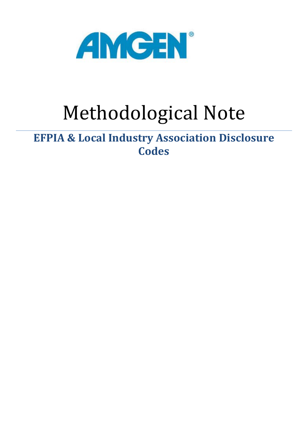

# Methodological Note

# **EFPIA & Local Industry Association Disclosure Codes**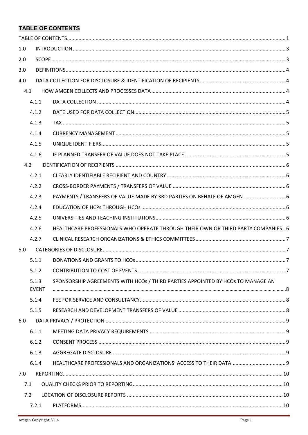## <span id="page-1-0"></span>**TABLE OF CONTENTS**

| 1.0 |              |                                                                                  |  |  |  |  |
|-----|--------------|----------------------------------------------------------------------------------|--|--|--|--|
| 2.0 |              |                                                                                  |  |  |  |  |
| 3.0 |              |                                                                                  |  |  |  |  |
| 4.0 |              |                                                                                  |  |  |  |  |
|     | 4.1          |                                                                                  |  |  |  |  |
|     | 4.1.1        |                                                                                  |  |  |  |  |
|     | 4.1.2        |                                                                                  |  |  |  |  |
|     | 4.1.3        |                                                                                  |  |  |  |  |
|     | 4.1.4        |                                                                                  |  |  |  |  |
|     | 4.1.5        |                                                                                  |  |  |  |  |
|     | 4.1.6        |                                                                                  |  |  |  |  |
|     | 4.2          |                                                                                  |  |  |  |  |
|     | 4.2.1        |                                                                                  |  |  |  |  |
|     | 4.2.2        |                                                                                  |  |  |  |  |
|     | 4.2.3        | PAYMENTS / TRANSFERS OF VALUE MADE BY 3RD PARTIES ON BEHALF OF AMGEN  6          |  |  |  |  |
|     | 4.2.4        |                                                                                  |  |  |  |  |
|     | 4.2.5        |                                                                                  |  |  |  |  |
|     | 4.2.6        | HEALTHCARE PROFESSIONALS WHO OPERATE THROUGH THEIR OWN OR THIRD PARTY COMPANIES6 |  |  |  |  |
|     | 4.2.7        |                                                                                  |  |  |  |  |
| 5.0 |              |                                                                                  |  |  |  |  |
|     | 5.1.1        |                                                                                  |  |  |  |  |
|     | 5.1.2        |                                                                                  |  |  |  |  |
|     | 5.1.3        | SPONSORSHIP AGREEMENTS WITH HCOs / THIRD PARTIES APPOINTED BY HCOS TO MANAGE AN  |  |  |  |  |
|     | <b>EVENT</b> |                                                                                  |  |  |  |  |
|     | 5.1.4        |                                                                                  |  |  |  |  |
|     | 5.1.5        |                                                                                  |  |  |  |  |
| 6.0 |              |                                                                                  |  |  |  |  |
|     | 6.1.1        |                                                                                  |  |  |  |  |
|     | 6.1.2        |                                                                                  |  |  |  |  |
|     | 6.1.3        |                                                                                  |  |  |  |  |
|     | 6.1.4        |                                                                                  |  |  |  |  |
| 7.0 |              |                                                                                  |  |  |  |  |
|     | 7.1          |                                                                                  |  |  |  |  |
|     | 7.2          |                                                                                  |  |  |  |  |
|     | 7.2.1        |                                                                                  |  |  |  |  |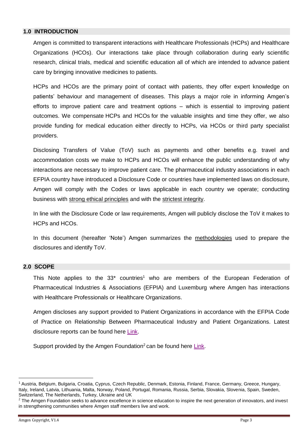#### <span id="page-3-0"></span>**1.0 INTRODUCTION**

Amgen is committed to transparent interactions with Healthcare Professionals (HCPs) and Healthcare Organizations (HCOs). Our interactions take place through collaboration during early scientific research, clinical trials, medical and scientific education all of which are intended to advance patient care by bringing innovative medicines to patients.

HCPs and HCOs are the primary point of contact with patients, they offer expert knowledge on patients' behaviour and management of diseases. This plays a major role in informing Amgen's efforts to improve patient care and treatment options – which is essential to improving patient outcomes. We compensate HCPs and HCOs for the valuable insights and time they offer, we also provide funding for medical education either directly to HCPs, via HCOs or third party specialist providers.

Disclosing Transfers of Value (ToV) such as payments and other benefits e.g. travel and accommodation costs we make to HCPs and HCOs will enhance the public understanding of why interactions are necessary to improve patient care. The pharmaceutical industry associations in each EFPIA country have introduced a Disclosure Code or countries have implemented laws on disclosure, Amgen will comply with the Codes or laws applicable in each country we operate; conducting business with strong ethical principles and with the strictest integrity.

In line with the Disclosure Code or law requirements, Amgen will publicly disclose the ToV it makes to HCPs and HCOs.

In this document (hereafter 'Note') Amgen summarizes the methodologies used to prepare the disclosures and identify ToV.

#### <span id="page-3-1"></span>**2.0 SCOPE**

This Note applies to the  $33<sup>*</sup>$  countries<sup>1</sup> who are members of the European Federation of Pharmaceutical Industries & Associations (EFPIA) and Luxemburg where Amgen has interactions with Healthcare Professionals or Healthcare Organizations.

Amgen discloses any support provided to Patient Organizations in accordance with the EFPIA Code of Practice on Relationship Between Pharmaceutical Industry and Patient Organizations. Latest disclosure reports can be found here [Link.](http://wwwext.amgen.com/about/how-we-operate/policies-practices-and-disclosures/transparency-disclosures/donation-and-grant-recipients/)

Support provided by the Amgen Foundation<sup>2</sup> can be found here [Link.](http://wwwext.amgen.com/responsibility/amgen-foundation/)

1

<sup>&</sup>lt;sup>1</sup> Austria, Belgium, Bulgaria, Croatia, Cyprus, Czech Republic, Denmark, Estonia, Finland, France, Germany, Greece, Hungary, Italy, Ireland, Latvia, Lithuania, Malta, Norway, Poland, Portugal, Romania, Russia, Serbia, Slovakia, Slovenia, Spain, Sweden, Switzerland, The Netherlands, Turkey, Ukraine and UK

 $<sup>2</sup>$  The Amgen Foundation seeks to advance excellence in science education to inspire the next generation of innovators, and invest</sup> in strengthening communities where Amgen staff members live and work.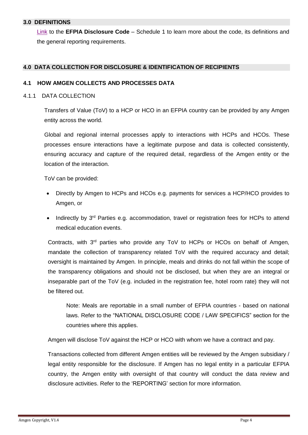#### <span id="page-4-0"></span>**3.0 DEFINITIONS**

[Link](https://www.efpia.eu/media/25837/efpia-disclosure-code.pdf) to the **EFPIA Disclosure Code** – Schedule 1 to learn more about the code, its definitions and the general reporting requirements.

#### <span id="page-4-1"></span>**4.0 DATA COLLECTION FOR DISCLOSURE & IDENTIFICATION OF RECIPIENTS**

#### <span id="page-4-2"></span>**4.1 HOW AMGEN COLLECTS AND PROCESSES DATA**

#### <span id="page-4-3"></span>4.1.1 DATA COLLECTION

Transfers of Value (ToV) to a HCP or HCO in an EFPIA country can be provided by any Amgen entity across the world.

Global and regional internal processes apply to interactions with HCPs and HCOs. These processes ensure interactions have a legitimate purpose and data is collected consistently, ensuring accuracy and capture of the required detail, regardless of the Amgen entity or the location of the interaction.

ToV can be provided:

- Directly by Amgen to HCPs and HCOs e.g. payments for services a HCP/HCO provides to Amgen, or
- Indirectly by  $3^{rd}$  Parties e.g. accommodation, travel or registration fees for HCPs to attend medical education events.

Contracts, with 3rd parties who provide any ToV to HCPs or HCOs on behalf of Amgen, mandate the collection of transparency related ToV with the required accuracy and detail; oversight is maintained by Amgen. In principle, meals and drinks do not fall within the scope of the transparency obligations and should not be disclosed, but when they are an integral or inseparable part of the ToV (e.g. included in the registration fee, hotel room rate) they will not be filtered out.

Note: Meals are reportable in a small number of EFPIA countries - based on national laws. Refer to the "NATIONAL DISCLOSURE CODE / LAW SPECIFICS" section for the countries where this applies.

Amgen will disclose ToV against the HCP or HCO with whom we have a contract and pay.

Transactions collected from different Amgen entities will be reviewed by the Amgen subsidiary / legal entity responsible for the disclosure. If Amgen has no legal entity in a particular EFPIA country, the Amgen entity with oversight of that country will conduct the data review and disclosure activities. Refer to the 'REPORTING' section for more information.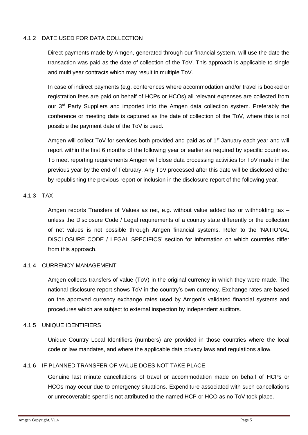#### <span id="page-5-0"></span>4.1.2 DATE USED FOR DATA COLLECTION

Direct payments made by Amgen, generated through our financial system, will use the date the transaction was paid as the date of collection of the ToV. This approach is applicable to single and multi year contracts which may result in multiple ToV.

In case of indirect payments (e.g. conferences where accommodation and/or travel is booked or registration fees are paid on behalf of HCPs or HCOs) all relevant expenses are collected from our 3<sup>rd</sup> Party Suppliers and imported into the Amgen data collection system. Preferably the conference or meeting date is captured as the date of collection of the ToV, where this is not possible the payment date of the ToV is used.

Amgen will collect ToV for services both provided and paid as of 1<sup>st</sup> January each year and will report within the first 6 months of the following year or earlier as required by specific countries. To meet reporting requirements Amgen will close data processing activities for ToV made in the previous year by the end of February. Any ToV processed after this date will be disclosed either by republishing the previous report or inclusion in the disclosure report of the following year.

#### <span id="page-5-1"></span>4.1.3 TAX

Amgen reports Transfers of Values as net, e.g. without value added tax or withholding tax – unless the Disclosure Code / Legal requirements of a country state differently or the collection of net values is not possible through Amgen financial systems. Refer to the 'NATIONAL DISCLOSURE CODE / LEGAL SPECIFICS' section for information on which countries differ from this approach.

#### <span id="page-5-2"></span>4.1.4 CURRENCY MANAGEMENT

Amgen collects transfers of value (ToV) in the original currency in which they were made. The national disclosure report shows ToV in the country's own currency. Exchange rates are based on the approved currency exchange rates used by Amgen's validated financial systems and procedures which are subject to external inspection by independent auditors.

#### <span id="page-5-3"></span>4.1.5 UNIQUE IDENTIFIERS

Unique Country Local Identifiers (numbers) are provided in those countries where the local code or law mandates, and where the applicable data privacy laws and regulations allow.

#### <span id="page-5-4"></span>4.1.6 IF PLANNED TRANSFER OF VALUE DOES NOT TAKE PLACE

Genuine last minute cancellations of travel or accommodation made on behalf of HCPs or HCOs may occur due to emergency situations. Expenditure associated with such cancellations or unrecoverable spend is not attributed to the named HCP or HCO as no ToV took place.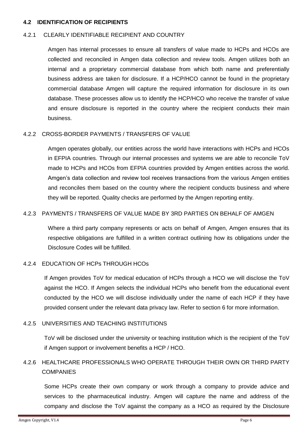#### <span id="page-6-0"></span>**4.2 IDENTIFICATION OF RECIPIENTS**

#### <span id="page-6-1"></span>4.2.1 CLEARLY IDENTIFIABLE RECIPIENT AND COUNTRY

Amgen has internal processes to ensure all transfers of value made to HCPs and HCOs are collected and reconciled in Amgen data collection and review tools. Amgen utilizes both an internal and a proprietary commercial database from which both name and preferentially business address are taken for disclosure. If a HCP/HCO cannot be found in the proprietary commercial database Amgen will capture the required information for disclosure in its own database. These processes allow us to identify the HCP/HCO who receive the transfer of value and ensure disclosure is reported in the country where the recipient conducts their main business.

#### <span id="page-6-2"></span>4.2.2 CROSS-BORDER PAYMENTS / TRANSFERS OF VALUE

Amgen operates globally, our entities across the world have interactions with HCPs and HCOs in EFPIA countries. Through our internal processes and systems we are able to reconcile ToV made to HCPs and HCOs from EFPIA countries provided by Amgen entities across the world. Amgen's data collection and review tool receives transactions from the various Amgen entities and reconciles them based on the country where the recipient conducts business and where they will be reported. Quality checks are performed by the Amgen reporting entity.

#### <span id="page-6-3"></span>4.2.3 PAYMENTS / TRANSFERS OF VALUE MADE BY 3RD PARTIES ON BEHALF OF AMGEN

Where a third party company represents or acts on behalf of Amgen, Amgen ensures that its respective obligations are fulfilled in a written contract outlining how its obligations under the Disclosure Codes will be fulfilled.

#### <span id="page-6-4"></span>4.2.4 EDUCATION OF HCPs THROUGH HCOs

If Amgen provides ToV for medical education of HCPs through a HCO we will disclose the ToV against the HCO. If Amgen selects the individual HCPs who benefit from the educational event conducted by the HCO we will disclose individually under the name of each HCP if they have provided consent under the relevant data privacy law. Refer to section 6 for more information.

#### <span id="page-6-5"></span>4.2.5 UNIVERSITIES AND TEACHING INSTITUTIONS

ToV will be disclosed under the university or teaching institution which is the recipient of the ToV if Amgen support or involvement benefits a HCP / HCO.

# <span id="page-6-6"></span>4.2.6 HEALTHCARE PROFESSIONALS WHO OPERATE THROUGH THEIR OWN OR THIRD PARTY **COMPANIES**

Some HCPs create their own company or work through a company to provide advice and services to the pharmaceutical industry. Amgen will capture the name and address of the company and disclose the ToV against the company as a HCO as required by the Disclosure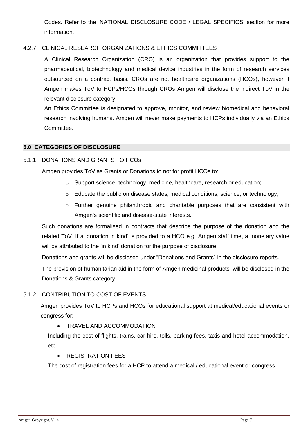Codes. Refer to the 'NATIONAL DISCLOSURE CODE / LEGAL SPECIFICS' section for more information.

#### <span id="page-7-0"></span>4.2.7 CLINICAL RESEARCH ORGANIZATIONS & ETHICS COMMITTEES

A Clinical Research Organization (CRO) is an organization that provides support to the pharmaceutical, biotechnology and medical device industries in the form of research services outsourced on a contract basis. CROs are not healthcare organizations (HCOs), however if Amgen makes ToV to HCPs/HCOs through CROs Amgen will disclose the indirect ToV in the relevant disclosure category.

An Ethics Committee is designated to approve, monitor, and review biomedical and behavioral research involving humans. Amgen will never make payments to HCPs individually via an Ethics Committee.

#### <span id="page-7-1"></span>**5.0 CATEGORIES OF DISCLOSURE**

#### <span id="page-7-2"></span>5.1.1 DONATIONS AND GRANTS TO HCOs

Amgen provides ToV as Grants or Donations to not for profit HCOs to:

- o Support science, technology, medicine, healthcare, research or education;
- $\circ$  Educate the public on disease states, medical conditions, science, or technology;
- o Further genuine philanthropic and charitable purposes that are consistent with Amgen's scientific and disease-state interests.

Such donations are formalised in contracts that describe the purpose of the donation and the related ToV. If a 'donation in kind' is provided to a HCO e.g. Amgen staff time, a monetary value will be attributed to the 'in kind' donation for the purpose of disclosure.

Donations and grants will be disclosed under "Donations and Grants" in the disclosure reports.

The provision of humanitarian aid in the form of Amgen medicinal products, will be disclosed in the Donations & Grants category.

#### <span id="page-7-3"></span>5.1.2 CONTRIBUTION TO COST OF EVENTS

Amgen provides ToV to HCPs and HCOs for educational support at medical/educational events or congress for:

**• TRAVEL AND ACCOMMODATION** 

Including the cost of flights, trains, car hire, tolls, parking fees, taxis and hotel accommodation, etc.

#### **• REGISTRATION FEES**

The cost of registration fees for a HCP to attend a medical / educational event or congress.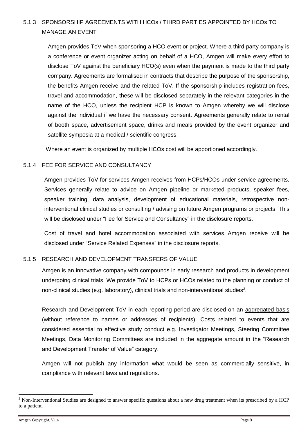# <span id="page-8-0"></span>5.1.3 SPONSORSHIP AGREEMENTS WITH HCOs / THIRD PARTIES APPOINTED BY HCOs TO MANAGE AN EVENT

Amgen provides ToV when sponsoring a HCO event or project. Where a third party company is a conference or event organizer acting on behalf of a HCO, Amgen will make every effort to disclose ToV against the beneficiary HCO(s) even when the payment is made to the third party company. Agreements are formalised in contracts that describe the purpose of the sponsorship, the benefits Amgen receive and the related ToV. If the sponsorship includes registration fees, travel and accommodation, these will be disclosed separately in the relevant categories in the name of the HCO, unless the recipient HCP is known to Amgen whereby we will disclose against the individual if we have the necessary consent. Agreements generally relate to rental of booth space, advertisement space, drinks and meals provided by the event organizer and satellite symposia at a medical / scientific congress.

Where an event is organized by multiple HCOs cost will be apportioned accordingly.

#### <span id="page-8-1"></span>5.1.4 FEE FOR SERVICE AND CONSULTANCY

Amgen provides ToV for services Amgen receives from HCPs/HCOs under service agreements. Services generally relate to advice on Amgen pipeline or marketed products, speaker fees, speaker training, data analysis, development of educational materials, retrospective noninterventional clinical studies or consulting / advising on future Amgen programs or projects. This will be disclosed under "Fee for Service and Consultancy" in the disclosure reports.

Cost of travel and hotel accommodation associated with services Amgen receive will be disclosed under "Service Related Expenses" in the disclosure reports.

#### <span id="page-8-2"></span>5.1.5 RESEARCH AND DEVELOPMENT TRANSFERS OF VALUE

Amgen is an innovative company with compounds in early research and products in development undergoing clinical trials. We provide ToV to HCPs or HCOs related to the planning or conduct of non-clinical studies (e.g. laboratory), clinical trials and non-interventional studies<sup>3</sup>.

Research and Development ToV in each reporting period are disclosed on an aggregated basis (without reference to names or addresses of recipients). Costs related to events that are considered essential to effective study conduct e.g. Investigator Meetings, Steering Committee Meetings, Data Monitoring Committees are included in the aggregate amount in the "Research and Development Transfer of Value" category.

Amgen will not publish any information what would be seen as commercially sensitive, in compliance with relevant laws and regulations.

-

<sup>&</sup>lt;sup>3</sup> Non-Interventional Studies are designed to answer specific questions about a new drug treatment when its prescribed by a HCP to a patient.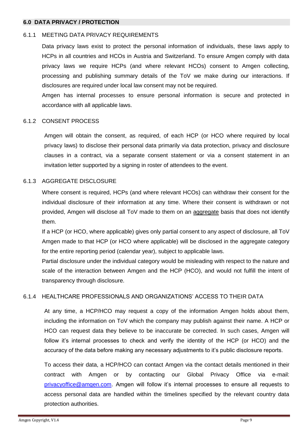#### <span id="page-9-0"></span>**6.0 DATA PRIVACY / PROTECTION**

#### <span id="page-9-1"></span>6.1.1 MEETING DATA PRIVACY REQUIREMENTS

Data privacy laws exist to protect the personal information of individuals, these laws apply to HCPs in all countries and HCOs in Austria and Switzerland. To ensure Amgen comply with data privacy laws we require HCPs (and where relevant HCOs) consent to Amgen collecting, processing and publishing summary details of the ToV we make during our interactions. If disclosures are required under local law consent may not be required.

Amgen has internal processes to ensure personal information is secure and protected in accordance with all applicable laws.

#### <span id="page-9-2"></span>6.1.2 CONSENT PROCESS

Amgen will obtain the consent, as required, of each HCP (or HCO where required by local privacy laws) to disclose their personal data primarily via data protection, privacy and disclosure clauses in a contract, via a separate consent statement or via a consent statement in an invitation letter supported by a signing in roster of attendees to the event.

#### <span id="page-9-3"></span>6.1.3 AGGREGATE DISCLOSURE

Where consent is required, HCPs (and where relevant HCOs) can withdraw their consent for the individual disclosure of their information at any time. Where their consent is withdrawn or not provided, Amgen will disclose all ToV made to them on an aggregate basis that does not identify them.

If a HCP (or HCO, where applicable) gives only partial consent to any aspect of disclosure, all ToV Amgen made to that HCP (or HCO where applicable) will be disclosed in the aggregate category for the entire reporting period (calendar year), subject to applicable laws.

Partial disclosure under the individual category would be misleading with respect to the nature and scale of the interaction between Amgen and the HCP (HCO), and would not fulfill the intent of transparency through disclosure.

#### <span id="page-9-4"></span>6.1.4 HEALTHCARE PROFESSIONALS AND ORGANIZATIONS' ACCESS TO THEIR DATA

At any time, a HCP/HCO may request a copy of the information Amgen holds about them, including the information on ToV which the company may publish against their name. A HCP or HCO can request data they believe to be inaccurate be corrected. In such cases, Amgen will follow it's internal processes to check and verify the identity of the HCP (or HCO) and the accuracy of the data before making any necessary adjustments to it's public disclosure reports.

To access their data, a HCP/HCO can contact Amgen via the contact details mentioned in their contract with Amgen or by contacting our Global Privacy Office via e-mail: [privacyoffice@amgen.com.](mailto:privacyoffice@amgen.com) Amgen will follow it's internal processes to ensure all requests to access personal data are handled within the timelines specified by the relevant country data protection authorities.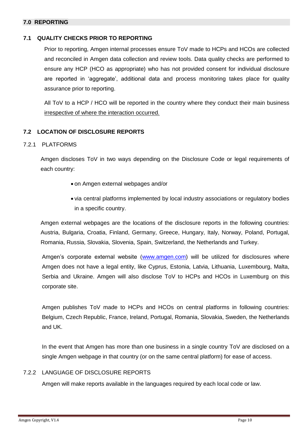#### <span id="page-10-0"></span>**7.0 REPORTING**

#### <span id="page-10-1"></span>**7.1 QUALITY CHECKS PRIOR TO REPORTING**

Prior to reporting, Amgen internal processes ensure ToV made to HCPs and HCOs are collected and reconciled in Amgen data collection and review tools. Data quality checks are performed to ensure any HCP (HCO as appropriate) who has not provided consent for individual disclosure are reported in 'aggregate', additional data and process monitoring takes place for quality assurance prior to reporting.

All ToV to a HCP / HCO will be reported in the country where they conduct their main business irrespective of where the interaction occurred.

#### <span id="page-10-2"></span>**7.2 LOCATION OF DISCLOSURE REPORTS**

#### <span id="page-10-3"></span>7.2.1 PLATFORMS

Amgen discloses ToV in two ways depending on the Disclosure Code or legal requirements of each country:

- on Amgen external webpages and/or
- via central platforms implemented by local industry associations or regulatory bodies in a specific country.

Amgen external webpages are the locations of the disclosure reports in the following countries: Austria, Bulgaria, Croatia, Finland, Germany, Greece, Hungary, Italy, Norway, Poland, Portugal, Romania, Russia, Slovakia, Slovenia, Spain, Switzerland, the Netherlands and Turkey.

Amgen's corporate external website [\(www.amgen.com\)](http://www.amgen.com/) will be utilized for disclosures where Amgen does not have a legal entity, like Cyprus, Estonia, Latvia, Lithuania, Luxembourg, Malta, Serbia and Ukraine. Amgen will also disclose ToV to HCPs and HCOs in Luxemburg on this corporate site.

Amgen publishes ToV made to HCPs and HCOs on central platforms in following countries: Belgium, Czech Republic, France, Ireland, Portugal, Romania, Slovakia, Sweden, the Netherlands and UK.

In the event that Amgen has more than one business in a single country ToV are disclosed on a single Amgen webpage in that country (or on the same central platform) for ease of access.

#### <span id="page-10-4"></span>7.2.2 LANGUAGE OF DISCLOSURE REPORTS

Amgen will make reports available in the languages required by each local code or law.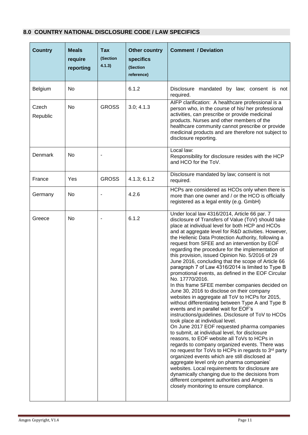### <span id="page-11-0"></span>**8.0 COUNTRY NATIONAL DISCLOSURE CODE / LAW SPECIFICS**

| <b>Country</b>    | <b>Meals</b><br>require<br>reporting | Tax<br>(Section<br>4.1.3) | Other country<br><b>specifics</b><br>(Section<br>reference) | <b>Comment / Deviation</b>                                                                                                                                                                                                                                                                                                                                                                                                                                                                                                                                                                                                                                                                                                                                                                                                                                                                                                                                                                                                                                                                                                                                                                                                                                                                                                                                                                                                                                                                                        |
|-------------------|--------------------------------------|---------------------------|-------------------------------------------------------------|-------------------------------------------------------------------------------------------------------------------------------------------------------------------------------------------------------------------------------------------------------------------------------------------------------------------------------------------------------------------------------------------------------------------------------------------------------------------------------------------------------------------------------------------------------------------------------------------------------------------------------------------------------------------------------------------------------------------------------------------------------------------------------------------------------------------------------------------------------------------------------------------------------------------------------------------------------------------------------------------------------------------------------------------------------------------------------------------------------------------------------------------------------------------------------------------------------------------------------------------------------------------------------------------------------------------------------------------------------------------------------------------------------------------------------------------------------------------------------------------------------------------|
| Belgium           | No                                   |                           | 6.1.2                                                       | Disclosure mandated by law; consent is not<br>required.                                                                                                                                                                                                                                                                                                                                                                                                                                                                                                                                                                                                                                                                                                                                                                                                                                                                                                                                                                                                                                                                                                                                                                                                                                                                                                                                                                                                                                                           |
| Czech<br>Republic | No                                   | <b>GROSS</b>              | 3.0; 4.1.3                                                  | AIFP clarification: A healthcare professional is a<br>person who, in the course of his/ her professional<br>activities, can prescribe or provide medicinal<br>products. Nurses and other members of the<br>healthcare community cannot prescribe or provide<br>medicinal products and are therefore not subject to<br>disclosure reporting.                                                                                                                                                                                                                                                                                                                                                                                                                                                                                                                                                                                                                                                                                                                                                                                                                                                                                                                                                                                                                                                                                                                                                                       |
| Denmark           | No                                   |                           |                                                             | Local law:<br>Responsibility for disclosure resides with the HCP<br>and HCO for the ToV.                                                                                                                                                                                                                                                                                                                                                                                                                                                                                                                                                                                                                                                                                                                                                                                                                                                                                                                                                                                                                                                                                                                                                                                                                                                                                                                                                                                                                          |
| France            | Yes                                  | <b>GROSS</b>              | 4.1.3; 6.1.2                                                | Disclosure mandated by law; consent is not<br>required.                                                                                                                                                                                                                                                                                                                                                                                                                                                                                                                                                                                                                                                                                                                                                                                                                                                                                                                                                                                                                                                                                                                                                                                                                                                                                                                                                                                                                                                           |
| Germany           | No                                   |                           | 4.2.6                                                       | HCPs are considered as HCOs only when there is<br>more than one owner and / or the HCO is officially<br>registered as a legal entity (e.g. GmbH)                                                                                                                                                                                                                                                                                                                                                                                                                                                                                                                                                                                                                                                                                                                                                                                                                                                                                                                                                                                                                                                                                                                                                                                                                                                                                                                                                                  |
| Greece            | No                                   |                           | 6.1.2                                                       | Under local law 4316/2014, Article 66 par. 7<br>disclosure of Transfers of Value (ToV) should take<br>place at individual level for both HCP and HCOs<br>and at aggregate level for R&D activities. However,<br>the Hellenic Data Protection Authority, following a<br>request from SFEE and an intervention by EOF<br>regarding the procedure for the implementation of<br>this provision, issued Opinion No. 5/2016 of 29<br>June 2016, concluding that the scope of Article 66<br>paragraph 7 of Law 4316/2014 is limited to Type B<br>promotional events, as defined in the EOF Circular<br>No. 17770/2016.<br>In this frame SFEE member companies decided on<br>June 30, 2016 to disclose on their company<br>websites in aggregate all ToV to HCPs for 2015,<br>without differentiating between Type A and Type B<br>events and in parallel wait for EOF's<br>instructions/guidelines. Disclosure of ToV to HCOs<br>took place at individual level.<br>On June 2017 EOF requested pharma companies<br>to submit, at individual level, for disclosure<br>reasons, to EOF website all ToVs to HCPs in<br>regards to company organized events. There was<br>no request for ToVs to HCPs in regards to 3rd party<br>organized events which are still disclosed at<br>aggregate level only on pharma companies'<br>websites. Local requirements for disclosure are<br>dynamically changing due to the decisions from<br>different competent authorities and Amgen is<br>closely monitoring to ensure compliance. |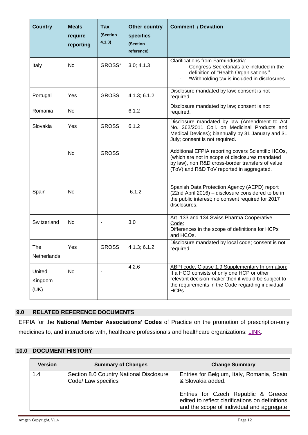| <b>Country</b>            | <b>Meals</b><br>require<br>reporting | Tax<br>(Section<br>4.1.3) | <b>Other country</b><br>specifics<br>(Section<br>reference) | <b>Comment / Deviation</b>                                                                                                                                                                                          |
|---------------------------|--------------------------------------|---------------------------|-------------------------------------------------------------|---------------------------------------------------------------------------------------------------------------------------------------------------------------------------------------------------------------------|
| Italy                     | <b>No</b>                            | GROSS*                    | 3.0; 4.1.3                                                  | Clarifications from Farmindustria:<br>Congress Secretariats are included in the<br>definition of "Health Organisations."<br>*Withholding tax is included in disclosures.                                            |
| Portugal                  | Yes                                  | <b>GROSS</b>              | 4.1.3; 6.1.2                                                | Disclosure mandated by law; consent is not<br>required.                                                                                                                                                             |
| Romania                   | No                                   |                           | 6.1.2                                                       | Disclosure mandated by law; consent is not<br>required.                                                                                                                                                             |
| Slovakia                  | Yes                                  | <b>GROSS</b>              | 6.1.2                                                       | Disclosure mandated by law (Amendment to Act<br>No. 362/2011 Coll. on Medicinal Products and<br>Medical Devices); biannually by 31 January and 31<br>July; consent is not required.                                 |
|                           | No                                   | <b>GROSS</b>              |                                                             | Additional EFPIA reporting covers Scientific HCOs,<br>(which are not in scope of disclosures mandated<br>by law), non R&D cross-border transfers of value<br>(ToV) and R&D ToV reported in aggregated.              |
| Spain                     | <b>No</b>                            |                           | 6.1.2                                                       | Spanish Data Protection Agency (AEPD) report<br>(22nd April 2016) - disclosure considered to be in<br>the public interest; no consent required for 2017<br>disclosures.                                             |
| Switzerland               | No                                   |                           | 3.0                                                         | Art. 133 and 134 Swiss Pharma Cooperative<br>Code:<br>Differences in the scope of definitions for HCPs<br>and HCOs.                                                                                                 |
| The<br>Netherlands        | Yes                                  | <b>GROSS</b>              | 4.1.3; 6.1.2                                                | Disclosure mandated by local code; consent is not<br>required.                                                                                                                                                      |
| United<br>Kingdom<br>(UK) | No                                   | $\overline{\phantom{a}}$  | 4.2.6                                                       | ABPI code, Clause 1.9 Supplementary Information:<br>If a HCO consists of only one HCP or other<br>relevant decision maker then it would be subject to<br>the requirements in the Code regarding individual<br>HCPs. |

#### <span id="page-12-0"></span>**9.0 RELATED REFERENCE DOCUMENTS**

EFPIA for the **National Member Associations' Codes** of Practice on the promotion of prescription-only medicines to, and interactions with, healthcare professionals and healthcare organizations: [LINK.](https://www.efpia.eu/relationships-codes/national-codes/)

#### <span id="page-12-1"></span>**10.0 DOCUMENT HISTORY**

| <b>Version</b> | <b>Summary of Changes</b>                                      | <b>Change Summary</b>                                                                                                               |
|----------------|----------------------------------------------------------------|-------------------------------------------------------------------------------------------------------------------------------------|
| 1.4            | Section 8.0 Country National Disclosure<br>Code/ Law specifics | Entries for Belgium, Italy, Romania, Spain<br>& Slovakia added.                                                                     |
|                |                                                                | Entries for Czech Republic & Greece<br>edited to reflect clarifications on definitions<br>and the scope of individual and aggregate |